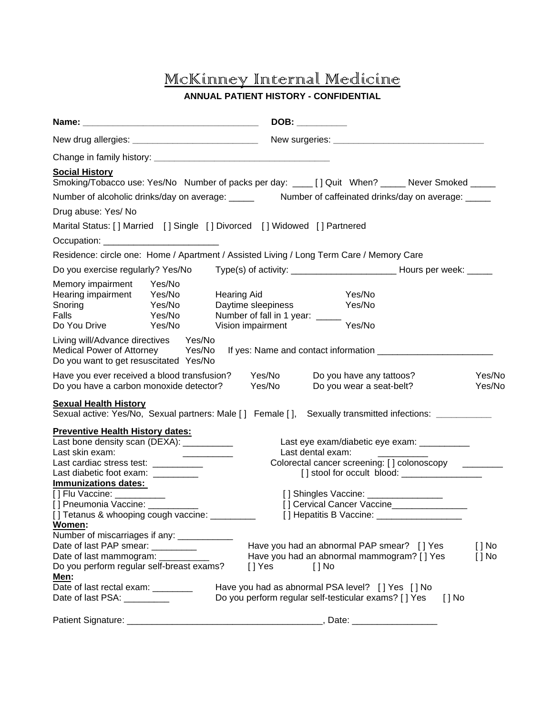# McKinney Internal Medicine

#### **ANNUAL PATIENT HISTORY - CONFIDENTIAL**

|                                                                                                                                                                                         | DOB: ___________                                                                                                                                                                                                             |                  |  |
|-----------------------------------------------------------------------------------------------------------------------------------------------------------------------------------------|------------------------------------------------------------------------------------------------------------------------------------------------------------------------------------------------------------------------------|------------------|--|
|                                                                                                                                                                                         |                                                                                                                                                                                                                              |                  |  |
|                                                                                                                                                                                         |                                                                                                                                                                                                                              |                  |  |
| <b>Social History</b>                                                                                                                                                                   | Smoking/Tobacco use: Yes/No Number of packs per day: ____ [] Quit When? _____ Never Smoked _____                                                                                                                             |                  |  |
|                                                                                                                                                                                         | Number of alcoholic drinks/day on average: _____ Number of caffeinated drinks/day on average: ____                                                                                                                           |                  |  |
| Drug abuse: Yes/ No                                                                                                                                                                     |                                                                                                                                                                                                                              |                  |  |
| Marital Status: [] Married [] Single [] Divorced [] Widowed [] Partnered                                                                                                                |                                                                                                                                                                                                                              |                  |  |
|                                                                                                                                                                                         |                                                                                                                                                                                                                              |                  |  |
|                                                                                                                                                                                         | Residence: circle one: Home / Apartment / Assisted Living / Long Term Care / Memory Care                                                                                                                                     |                  |  |
| Do you exercise regularly? Yes/No                                                                                                                                                       |                                                                                                                                                                                                                              |                  |  |
| Memory impairment<br>Yes/No<br>Hearing impairment<br>Yes/No<br>Yes/No<br>Snoring<br>Falls<br>Yes/No<br>Yes/No<br>Do You Drive                                                           | Yes/No<br><b>Hearing Aid</b><br>Daytime sleepiness<br>Yes/No<br>Number of fall in 1 year: _____<br>Yes/No<br>Vision impairment                                                                                               |                  |  |
| Living will/Advance directives Yes/No<br>Medical Power of Attorney Yes/No<br>Do you want to get resuscitated Yes/No                                                                     | If yes: Name and contact information ______________                                                                                                                                                                          |                  |  |
| Have you ever received a blood transfusion?<br>Do you have a carbon monoxide detector?                                                                                                  | Yes/No<br>Do you have any tattoos?<br>Yes/No<br>Do you wear a seat-belt?                                                                                                                                                     | Yes/No<br>Yes/No |  |
| <b>Sexual Health History</b>                                                                                                                                                            | Sexual active: Yes/No, Sexual partners: Male [] Female [], Sexually transmitted infections: ________                                                                                                                         |                  |  |
| <b>Preventive Health History dates:</b><br>Last bone density scan (DEXA): ___________<br>Last skin exam:<br>Last cardiac stress test: ___________<br>Last diabetic foot exam: _________ | Last eye exam/diabetic eye exam: ___________<br>Last dental exam:<br><u> 1986 - John Stein, Amerikaansk kon</u><br>Colorectal cancer screening: [] colonoscopy _________<br>[] stool for occult blood: _____________________ |                  |  |
| <b>Immunizations dates:</b><br>[] Flu Vaccine: ___________<br>[] Pneumonia Vaccine: ______<br>[] Tetanus & whooping cough vaccine: _________<br>Women:                                  | [] Shingles Vaccine: ________________<br>[] Cervical Cancer Vaccine________________<br>[] Hepatitis B Vaccine: ___________________                                                                                           |                  |  |
| Number of miscarriages if any: _____________<br>Date of last PAP smear: _________<br>Date of last mammogram: ________<br>Do you perform regular self-breast exams?<br><u>Men:</u>       | Have you had an abnormal PAP smear? [] Yes<br>$[ ]$ No<br>Have you had an abnormal mammogram? [ ] Yes<br>$[ ]$ No<br>$[]$ Yes<br>[ ] No                                                                                      |                  |  |
| Date of last rectal exam: ________<br>Date of last PSA: __________                                                                                                                      | Have you had as abnormal PSA level? [] Yes [] No<br>Do you perform regular self-testicular exams? [ ] Yes<br>$[$ $]$ No                                                                                                      |                  |  |
| Patient Signature:                                                                                                                                                                      | , Date:                                                                                                                                                                                                                      |                  |  |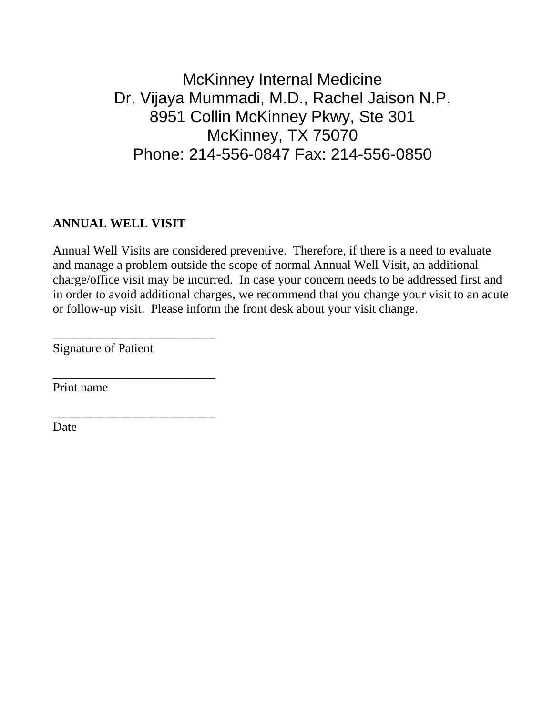McKinney Internal Medicine Dr. Vijaya Mummadi, M.D., Rachel Jaison N.P. 8951 Collin McKinney Pkwy, Ste 301 McKinney, TX 75070 Phone: 214-556-0847 Fax: 214-556-0850

#### **ANNUAL WELL VISIT**

Annual Well Visits are considered preventive. Therefore, if there is a need to evaluate and manage a problem outside the scope of normal Annual Well Visit, an additional charge/office visit may be incurred. In case your concern needs to be addressed first and in order to avoid additional charges, we recommend that you change your visit to an acute or follow-up visit. Please inform the front desk about your visit change.

Signature of Patient

\_\_\_\_\_\_\_\_\_\_\_\_\_\_\_\_\_\_\_\_\_\_\_\_\_\_\_\_\_\_

\_\_\_\_\_\_\_\_\_\_\_\_\_\_\_\_\_\_\_\_\_\_\_\_\_\_\_\_\_\_

\_\_\_\_\_\_\_\_\_\_\_\_\_\_\_\_\_\_\_\_\_\_\_\_\_\_\_\_\_\_

Print name

Date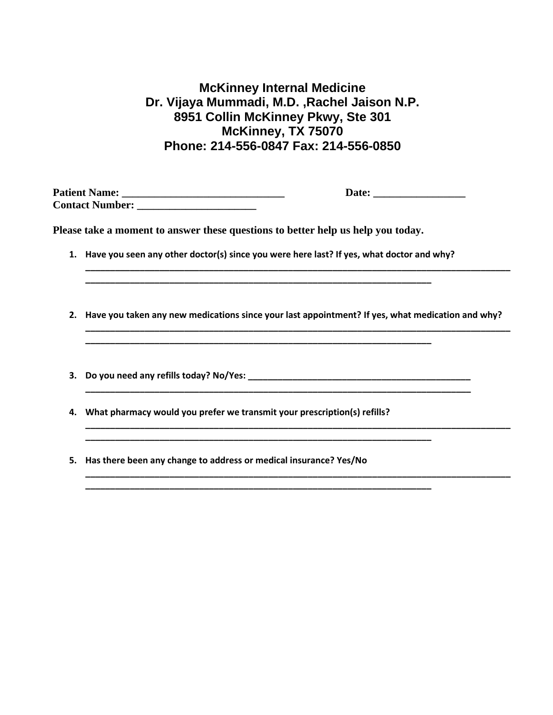### **McKinney Internal Medicine Dr. Vijaya Mummadi, M.D. ,Rachel Jaison N.P. 8951 Collin McKinney Pkwy, Ste 301 McKinney, TX 75070 Phone: 214-556-0847 Fax: 214-556-0850**

**Patient Name: \_\_\_\_\_\_\_\_\_\_\_\_\_\_\_\_\_\_\_\_\_\_\_\_\_\_\_\_\_\_ Date: \_\_\_\_\_\_\_\_\_\_\_\_\_\_\_\_\_ Contact Number: \_\_\_\_\_\_\_\_\_\_\_\_\_\_\_\_\_\_\_\_\_\_**

**Please take a moment to answer these questions to better help us help you today.**

**1. Have you seen any other doctor(s) since you were here last? If yes, what doctor and why?**

**\_\_\_\_\_\_\_\_\_\_\_\_\_\_\_\_\_\_\_\_\_\_\_\_\_\_\_\_\_\_\_\_\_\_\_\_\_\_\_\_\_\_\_\_\_\_\_\_\_\_\_\_\_\_\_\_\_\_\_\_\_\_\_\_\_\_\_\_\_\_**

**\_\_\_\_\_\_\_\_\_\_\_\_\_\_\_\_\_\_\_\_\_\_\_\_\_\_\_\_\_\_\_\_\_\_\_\_\_\_\_\_\_\_\_\_\_\_\_\_\_\_\_\_\_\_\_\_\_\_\_\_\_\_\_\_\_\_\_\_\_\_**

**\_\_\_\_\_\_\_\_\_\_\_\_\_\_\_\_\_\_\_\_\_\_\_\_\_\_\_\_\_\_\_\_\_\_\_\_\_\_\_\_\_\_\_\_\_\_\_\_\_\_\_\_\_\_\_\_\_\_\_\_\_\_\_\_\_\_\_\_\_\_**

**\_\_\_\_\_\_\_\_\_\_\_\_\_\_\_\_\_\_\_\_\_\_\_\_\_\_\_\_\_\_\_\_\_\_\_\_\_\_\_\_\_\_\_\_\_\_\_\_\_\_\_\_\_\_\_\_\_\_\_\_\_\_\_\_\_\_\_\_\_\_**

**2. Have you taken any new medications since your last appointment? If yes, what medication and why? \_\_\_\_\_\_\_\_\_\_\_\_\_\_\_\_\_\_\_\_\_\_\_\_\_\_\_\_\_\_\_\_\_\_\_\_\_\_\_\_\_\_\_\_\_\_\_\_\_\_\_\_\_\_\_\_\_\_\_\_\_\_\_\_\_\_\_\_\_\_\_\_\_\_\_\_\_\_\_\_\_\_\_\_\_\_**

**\_\_\_\_\_\_\_\_\_\_\_\_\_\_\_\_\_\_\_\_\_\_\_\_\_\_\_\_\_\_\_\_\_\_\_\_\_\_\_\_\_\_\_\_\_\_\_\_\_\_\_\_\_\_\_\_\_\_\_\_\_\_\_\_\_\_\_\_\_\_\_\_\_\_\_\_\_\_**

**\_\_\_\_\_\_\_\_\_\_\_\_\_\_\_\_\_\_\_\_\_\_\_\_\_\_\_\_\_\_\_\_\_\_\_\_\_\_\_\_\_\_\_\_\_\_\_\_\_\_\_\_\_\_\_\_\_\_\_\_\_\_\_\_\_\_\_\_\_\_\_\_\_\_\_\_\_\_\_\_\_\_\_\_\_\_**

**\_\_\_\_\_\_\_\_\_\_\_\_\_\_\_\_\_\_\_\_\_\_\_\_\_\_\_\_\_\_\_\_\_\_\_\_\_\_\_\_\_\_\_\_\_\_\_\_\_\_\_\_\_\_\_\_\_\_\_\_\_\_\_\_\_\_\_\_\_\_\_\_\_\_\_\_\_\_\_\_\_\_\_\_\_\_**

**\_\_\_\_\_\_\_\_\_\_\_\_\_\_\_\_\_\_\_\_\_\_\_\_\_\_\_\_\_\_\_\_\_\_\_\_\_\_\_\_\_\_\_\_\_\_\_\_\_\_\_\_\_\_\_\_\_\_\_\_\_\_\_\_\_\_\_\_\_\_\_\_\_\_\_\_\_\_\_\_\_\_\_\_\_\_**

- **3. Do you need any refills today? No/Yes: \_\_\_\_\_\_\_\_\_\_\_\_\_\_\_\_\_\_\_\_\_\_\_\_\_\_\_\_\_\_\_\_\_\_\_\_\_\_\_\_\_\_\_\_\_**
- **4. What pharmacy would you prefer we transmit your prescription(s) refills?**
- **5. Has there been any change to address or medical insurance? Yes/No**